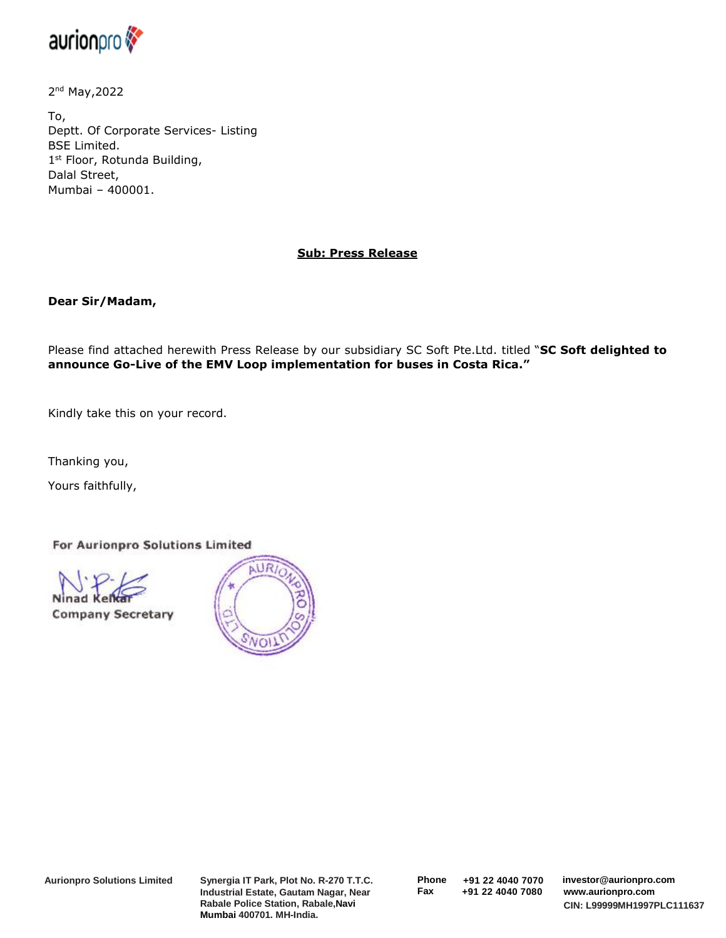

2<sup>nd</sup> May, 2022

To, Deptt. Of Corporate Services- Listing BSE Limited. 1<sup>st</sup> Floor, Rotunda Building, Dalal Street, Mumbai – 400001.

## **Sub: Press Release**

**Dear Sir/Madam,**

Please find attached herewith Press Release by our subsidiary SC Soft Pte.Ltd. titled "**SC Soft delighted to announce Go-Live of the EMV Loop implementation for buses in Costa Rica."**

Kindly take this on your record.

Thanking you,

Yours faithfully,

For Aurionpro Solutions Limited

**Company Secretary** 



**Aurionpro Solutions Limited Synergia IT Park, Plot No. R-270 T.T.C. Industrial Estate, Gautam Nagar, Near Rabale Police Station, Rabale,Navi Mumbai 400701. MH-India.** 

**Phone Fax +91 22 4040 7070 +91 22 4040 7080** **investor@aurionpro.com www.aurionpro.com CIN: L99999MH1997PLC111637**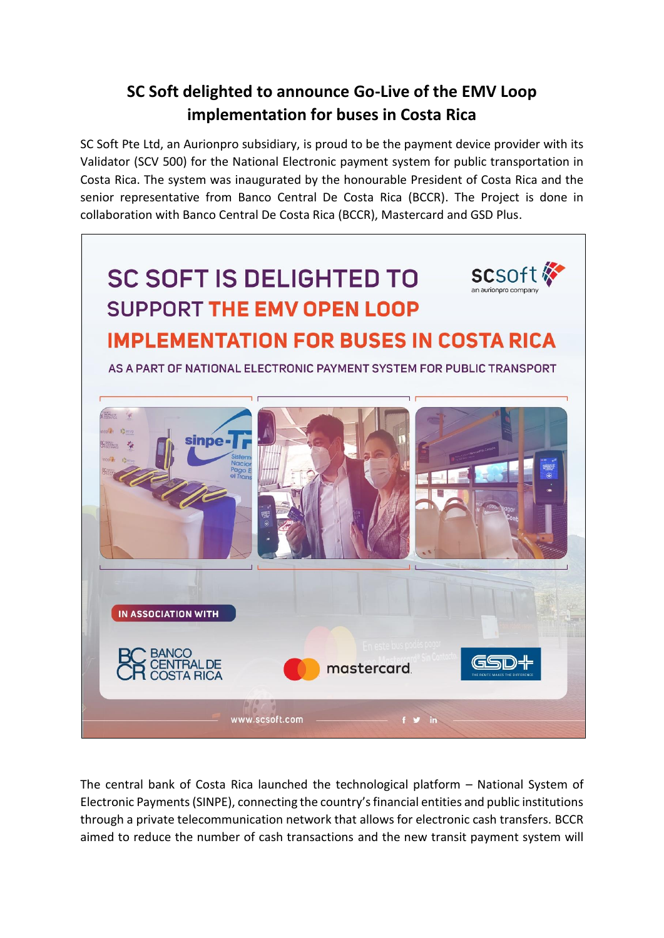## **SC Soft delighted to announce Go-Live of the EMV Loop implementation for buses in Costa Rica**

SC Soft Pte Ltd, an Aurionpro subsidiary, is proud to be the payment device provider with its Validator (SCV 500) for the National Electronic payment system for public transportation in Costa Rica. The system was inaugurated by the honourable President of Costa Rica and the senior representative from Banco Central De Costa Rica (BCCR). The Project is done in collaboration with Banco Central De Costa Rica (BCCR), Mastercard and GSD Plus.



The central bank of Costa Rica launched the technological platform – National System of Electronic Payments (SINPE), connecting the country's financial entities and public institutions through a private telecommunication network that allows for electronic cash transfers. BCCR aimed to reduce the number of cash transactions and the new transit payment system will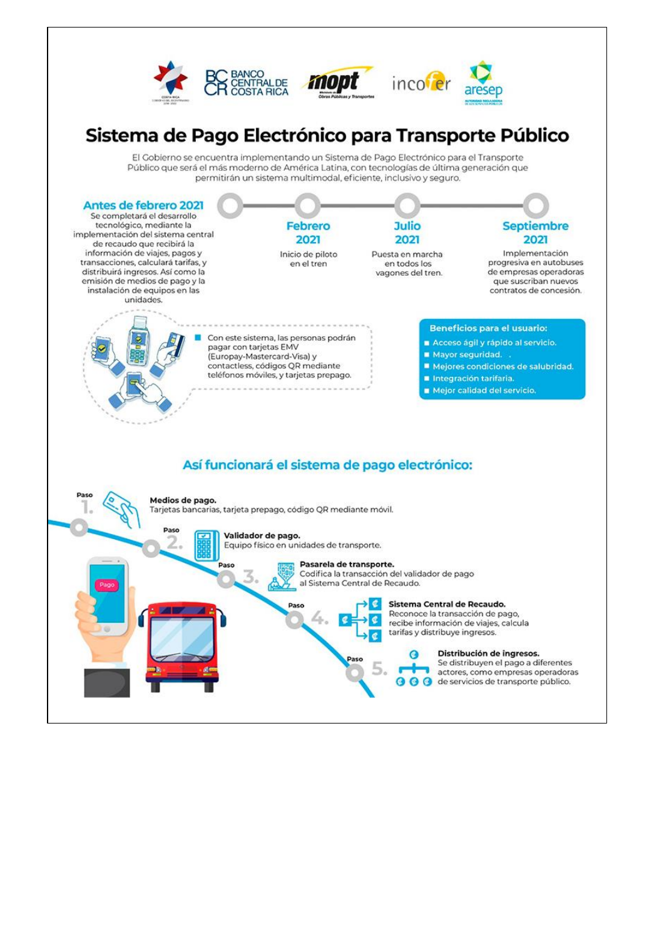